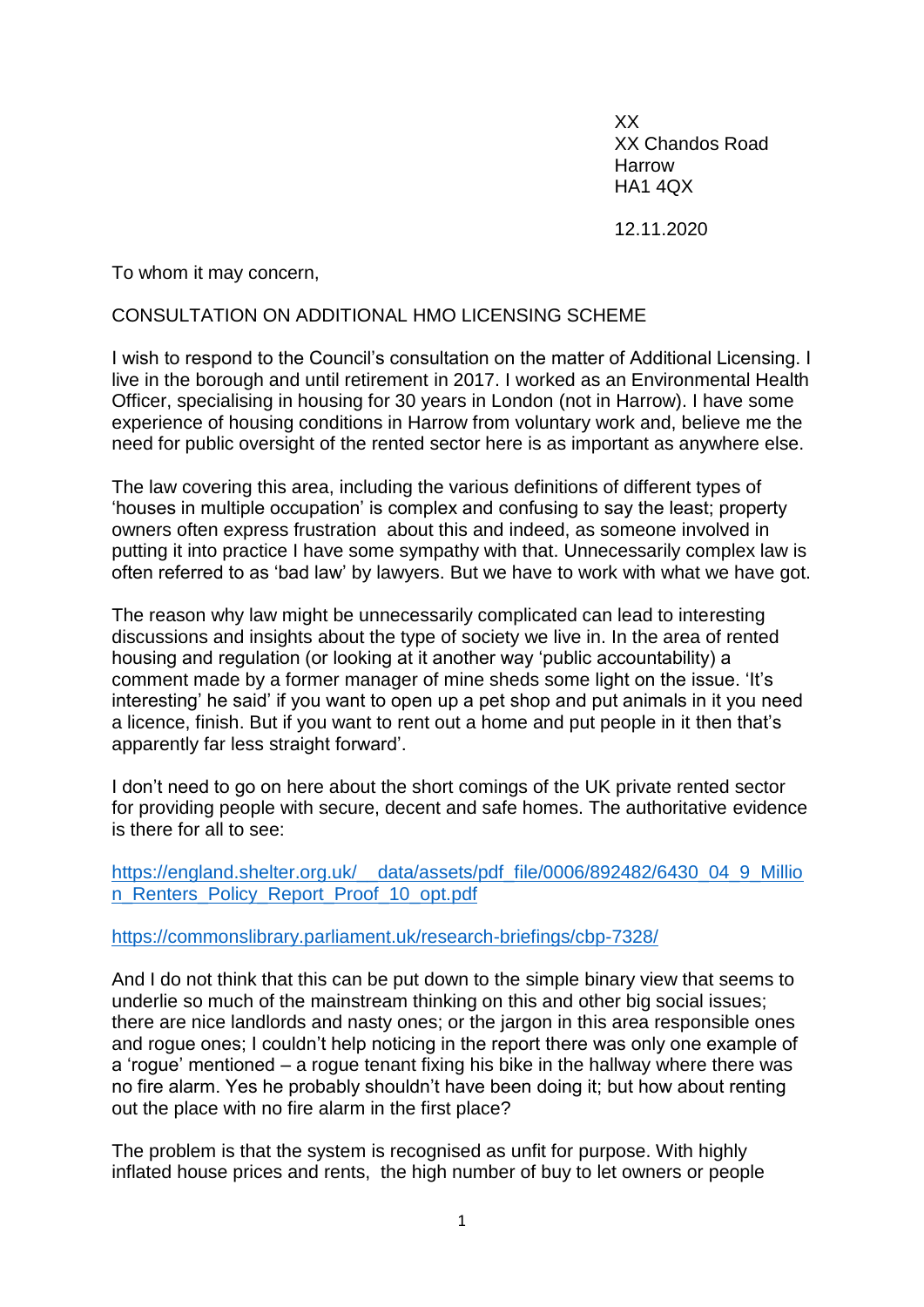XX XX Chandos Road Harrow HA1 4QX

12.11.2020

To whom it may concern,

## CONSULTATION ON ADDITIONAL HMO LICENSING SCHEME

I wish to respond to the Council's consultation on the matter of Additional Licensing. I live in the borough and until retirement in 2017. I worked as an Environmental Health Officer, specialising in housing for 30 years in London (not in Harrow). I have some experience of housing conditions in Harrow from voluntary work and, believe me the need for public oversight of the rented sector here is as important as anywhere else.

The law covering this area, including the various definitions of different types of 'houses in multiple occupation' is complex and confusing to say the least; property owners often express frustration about this and indeed, as someone involved in putting it into practice I have some sympathy with that. Unnecessarily complex law is often referred to as 'bad law' by lawyers. But we have to work with what we have got.

The reason why law might be unnecessarily complicated can lead to interesting discussions and insights about the type of society we live in. In the area of rented housing and regulation (or looking at it another way 'public accountability) a comment made by a former manager of mine sheds some light on the issue. 'It's interesting' he said' if you want to open up a pet shop and put animals in it you need a licence, finish. But if you want to rent out a home and put people in it then that's apparently far less straight forward'.

I don't need to go on here about the short comings of the UK private rented sector for providing people with secure, decent and safe homes. The authoritative evidence is there for all to see:

[https://england.shelter.org.uk/\\_\\_data/assets/pdf\\_file/0006/892482/6430\\_04\\_9\\_Millio](https://england.shelter.org.uk/__data/assets/pdf_file/0006/892482/6430_04_9_Million_Renters_Policy_Report_Proof_10_opt.pdf) [n\\_Renters\\_Policy\\_Report\\_Proof\\_10\\_opt.pdf](https://england.shelter.org.uk/__data/assets/pdf_file/0006/892482/6430_04_9_Million_Renters_Policy_Report_Proof_10_opt.pdf)

<https://commonslibrary.parliament.uk/research-briefings/cbp-7328/>

And I do not think that this can be put down to the simple binary view that seems to underlie so much of the mainstream thinking on this and other big social issues; there are nice landlords and nasty ones; or the jargon in this area responsible ones and rogue ones; I couldn't help noticing in the report there was only one example of a 'rogue' mentioned – a rogue tenant fixing his bike in the hallway where there was no fire alarm. Yes he probably shouldn't have been doing it; but how about renting out the place with no fire alarm in the first place?

The problem is that the system is recognised as unfit for purpose. With highly inflated house prices and rents, the high number of buy to let owners or people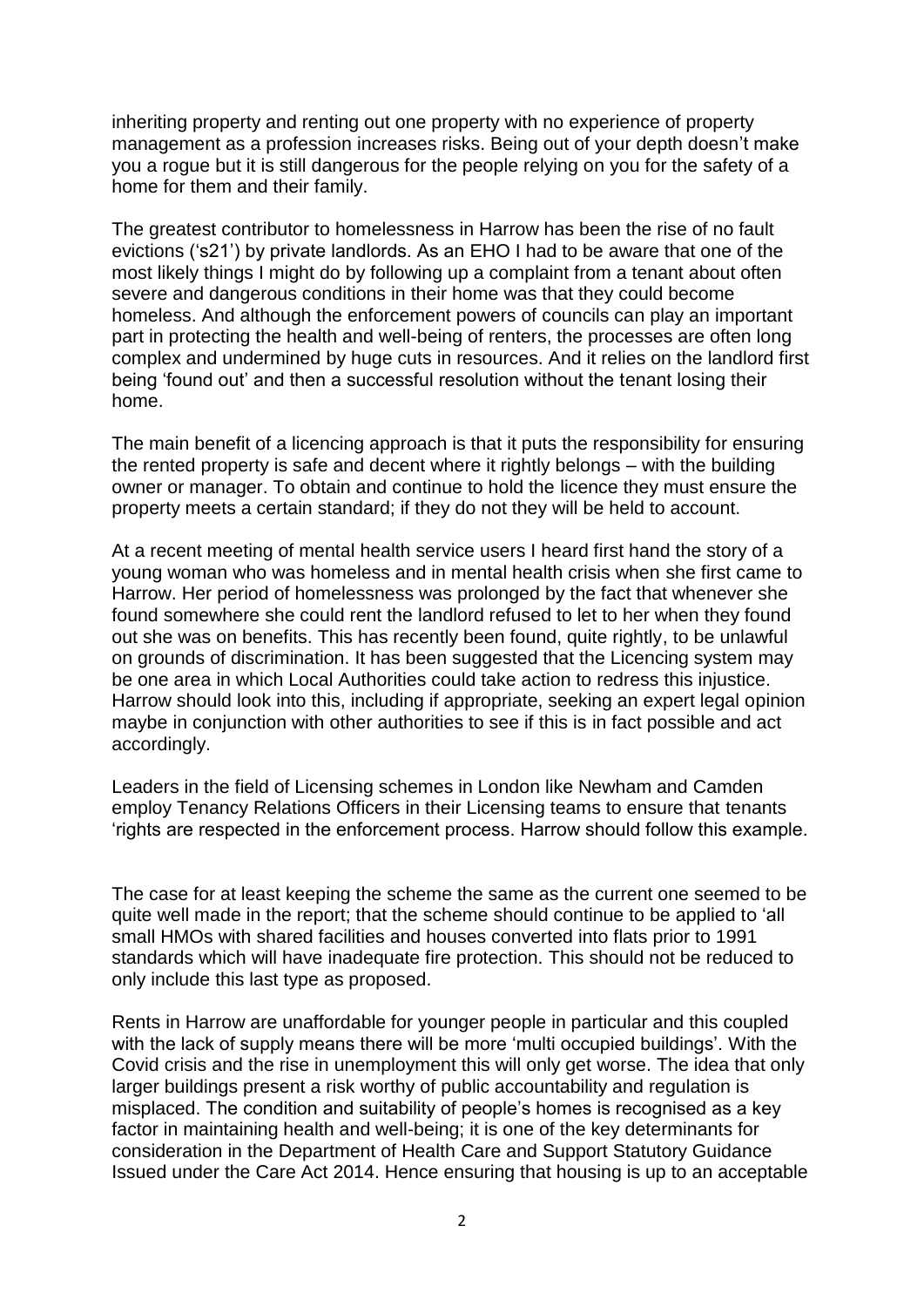inheriting property and renting out one property with no experience of property management as a profession increases risks. Being out of your depth doesn't make you a rogue but it is still dangerous for the people relying on you for the safety of a home for them and their family.

The greatest contributor to homelessness in Harrow has been the rise of no fault evictions ('s21') by private landlords. As an EHO I had to be aware that one of the most likely things I might do by following up a complaint from a tenant about often severe and dangerous conditions in their home was that they could become homeless. And although the enforcement powers of councils can play an important part in protecting the health and well-being of renters, the processes are often long complex and undermined by huge cuts in resources. And it relies on the landlord first being 'found out' and then a successful resolution without the tenant losing their home.

The main benefit of a licencing approach is that it puts the responsibility for ensuring the rented property is safe and decent where it rightly belongs – with the building owner or manager. To obtain and continue to hold the licence they must ensure the property meets a certain standard; if they do not they will be held to account.

At a recent meeting of mental health service users I heard first hand the story of a young woman who was homeless and in mental health crisis when she first came to Harrow. Her period of homelessness was prolonged by the fact that whenever she found somewhere she could rent the landlord refused to let to her when they found out she was on benefits. This has recently been found, quite rightly, to be unlawful on grounds of discrimination. It has been suggested that the Licencing system may be one area in which Local Authorities could take action to redress this injustice. Harrow should look into this, including if appropriate, seeking an expert legal opinion maybe in conjunction with other authorities to see if this is in fact possible and act accordingly.

Leaders in the field of Licensing schemes in London like Newham and Camden employ Tenancy Relations Officers in their Licensing teams to ensure that tenants 'rights are respected in the enforcement process. Harrow should follow this example.

The case for at least keeping the scheme the same as the current one seemed to be quite well made in the report; that the scheme should continue to be applied to 'all small HMOs with shared facilities and houses converted into flats prior to 1991 standards which will have inadequate fire protection. This should not be reduced to only include this last type as proposed.

Rents in Harrow are unaffordable for younger people in particular and this coupled with the lack of supply means there will be more 'multi occupied buildings'. With the Covid crisis and the rise in unemployment this will only get worse. The idea that only larger buildings present a risk worthy of public accountability and regulation is misplaced. The condition and suitability of people's homes is recognised as a key factor in maintaining health and well-being; it is one of the key determinants for consideration in the Department of Health Care and Support Statutory Guidance Issued under the Care Act 2014. Hence ensuring that housing is up to an acceptable